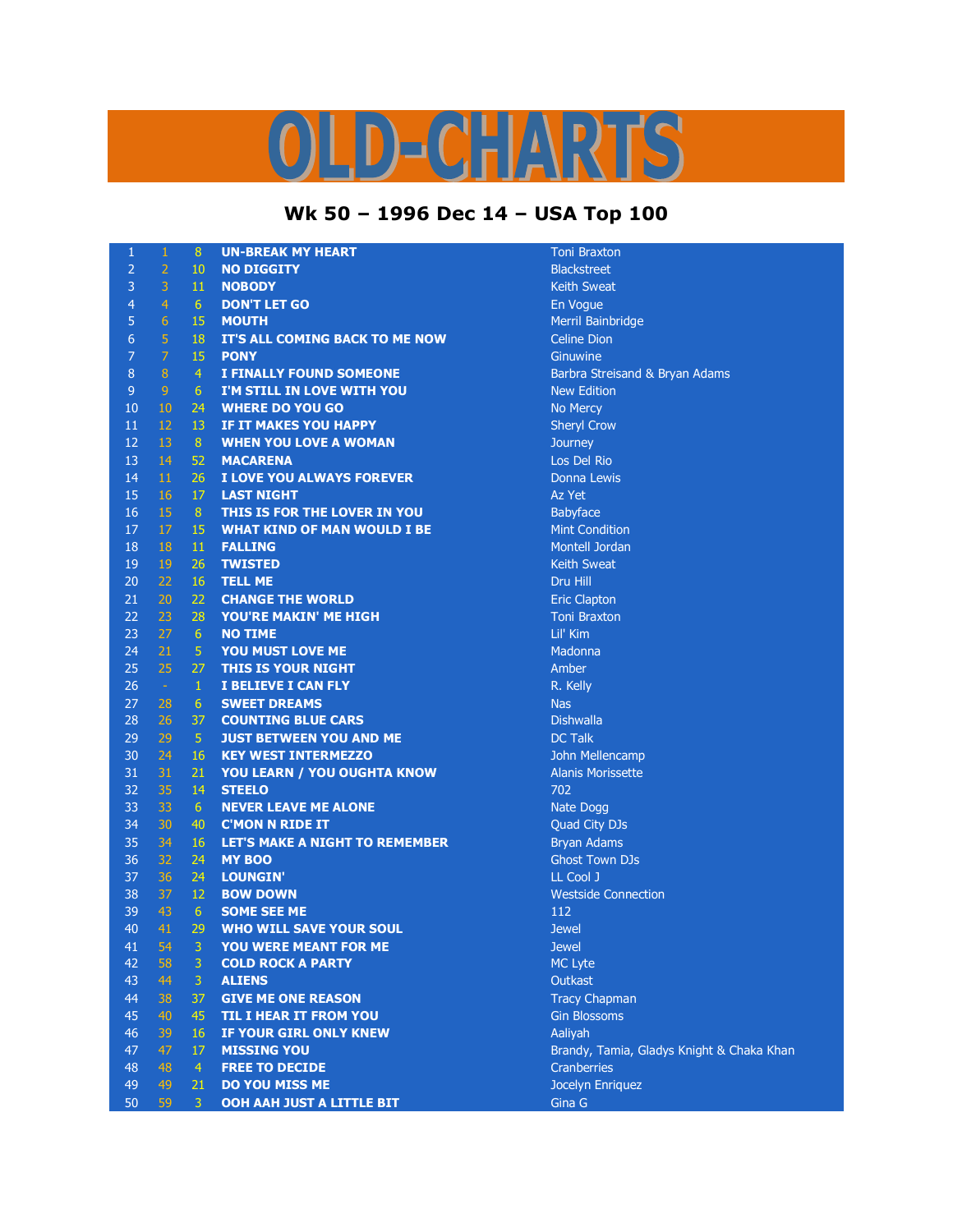## LD-CHARTS

## **Wk 50 – 1996 Dec 14 – USA Top 100**

| $\mathbf{1}$   | $\mathbf{1}$   | 8              | <b>UN-BREAK MY HEART</b>              | <b>Toni Bra</b>  |
|----------------|----------------|----------------|---------------------------------------|------------------|
| $\overline{2}$ | $\overline{2}$ | 10             | <b>NO DIGGITY</b>                     | <b>Blackstr</b>  |
| 3              | 3              | 11             | <b>NOBODY</b>                         | Keith Sv         |
| $\overline{4}$ | $\overline{4}$ | $6\phantom{1}$ | <b>DON'T LET GO</b>                   | En Vogu          |
| 5              | $\overline{6}$ | 15             | <b>MOUTH</b>                          | Merril B         |
| $\sqrt{6}$     | 5              | 18             | IT'S ALL COMING BACK TO ME NOW        | Celine D         |
| $\overline{7}$ | $\overline{7}$ | 15             | <b>PONY</b>                           | Ginuwin          |
| $\, 8$         | $\, 8$         | $\overline{4}$ | <b>I FINALLY FOUND SOMEONE</b>        | <b>Barbra</b> 9  |
| $\mathsf 9$    | $\overline{9}$ | $6\,$          | I'M STILL IN LOVE WITH YOU            | New Ed           |
| 10             | $10\,$         | 24             | <b>WHERE DO YOU GO</b>                | No Mero          |
| 11             | 12             | 13             | IF IT MAKES YOU HAPPY                 | Sheryl C         |
| 12             | 13             | 8              | <b>WHEN YOU LOVE A WOMAN</b>          | Journey          |
| 13             | 14             | 52             | <b>MACARENA</b>                       | Los Del          |
| 14             | 11             | 26             | I LOVE YOU ALWAYS FOREVER             | Donna L          |
| 15             | 16             | 17             | <b>LAST NIGHT</b>                     | Az Yet           |
| 16             | 15             | 8              | THIS IS FOR THE LOVER IN YOU          | Babyfac          |
| 17             | $17\,$         | 15             | <b>WHAT KIND OF MAN WOULD I BE</b>    | Mint Co          |
| 18             | 18             | 11             | <b>FALLING</b>                        | Montell          |
| 19             | 19             | 26             | <b>TWISTED</b>                        | Keith Sv         |
| 20             | 22             | 16             | <b>TELL ME</b>                        | Dru Hill         |
| 21             | 20             | 22             | <b>CHANGE THE WORLD</b>               | <b>Eric Clay</b> |
| 22             | 23             | 28             | YOU'RE MAKIN' ME HIGH                 | <b>Toni Bra</b>  |
| 23             | 27             | $6^{\circ}$    | <b>NO TIME</b>                        | Lil' Kim         |
| 24             | 21             | $\overline{5}$ | YOU MUST LOVE ME                      | Madonn           |
| 25             | 25             | 27             | THIS IS YOUR NIGHT                    | Amber            |
| 26             | $\sim$ $\sim$  | $\mathbf{1}$   | I BELIEVE I CAN FLY                   | R. Kelly         |
| 27             | 28             | 6              | <b>SWEET DREAMS</b>                   | <b>Nas</b>       |
| 28             | 26             | 37             | <b>COUNTING BLUE CARS</b>             | <b>Dishwal</b>   |
| 29             | 29             | $\sqrt{5}$     | <b>JUST BETWEEN YOU AND ME</b>        | <b>DC Talk</b>   |
| 30             | 24             | 16             | <b>KEY WEST INTERMEZZO</b>            | John Me          |
| 31             | 31             | 21             | YOU LEARN / YOU OUGHTA KNOW           | Alanis M         |
| 32             | 35             | 14             | <b>STEELO</b>                         | 702              |
| 33             | 33             | 6 <sup>1</sup> | <b>NEVER LEAVE ME ALONE</b>           | Nate Do          |
| 34             | 30             | 40             | <b>C'MON N RIDE IT</b>                | Quad Ci          |
| 35             | 34             | 16             | <b>LET'S MAKE A NIGHT TO REMEMBER</b> | Bryan A          |
| 36             | 32             | 24             | <b>MY BOO</b>                         | <b>Ghost T</b>   |
| 37             | 36             | 24             | LOUNGIN'                              | LL Cool          |
| 38             | 37             | 12             | <b>BOW DOWN</b>                       | Westsid          |
| 39             | 43             | 6              | <b>SOME SEE ME</b>                    | 112              |
| 40             | 41             | 29             | <b>WHO WILL SAVE YOUR SOUL</b>        | <b>Jewel</b>     |
| 41             | 54             | 3              | YOU WERE MEANT FOR ME                 | <b>Jewel</b>     |
| 42             | 58             | 3              | <b>COLD ROCK A PARTY</b>              | MC Lyte          |
| 43             | 44             | 3              | <b>ALIENS</b>                         | Outkast          |
| 44             | 38             | 37             | <b>GIVE ME ONE REASON</b>             | Tracy C          |
| 45             | 40             | 45             | <b>TIL I HEAR IT FROM YOU</b>         | <b>Gin Blos</b>  |
| 46             | 39             | 16             | IF YOUR GIRL ONLY KNEW                | Aaliyah          |
| 47             | 47             | 17             | <b>MISSING YOU</b>                    | Brandy,          |
| 48             | 48             | $\overline{4}$ | <b>FREE TO DECIDE</b>                 | Cranber          |
| 49             | 49             | 21             | DO YOU MISS ME                        | Jocelyn          |
| 50             | 59             | 3              | OOH AAH JUST A LITTLE BIT             | Gina G           |

**Toni Braxton Blackstreet Keith Sweat En Vogue Merril Bainbridge Celine Dion Ginuwine** Barbra Streisand & Bryan Adams **New Edition No Mercy Sheryl Crow** Los Del Rio Donna Lewis Babyface **Mint Condition Montell Jordan Keith Sweat Eric Clapton 7** Toni Braxton **Madonna** Dishwalla **John Mellencamp** Alanis Morissette **Nate Dogg Quad City DJs Bryan Adams Ghost Town DJs** LL Cool J **Westside Connection MC Lyte Tracy Chapman Gin Blossoms** Brandy, Tamia, Gladys Knight & Chaka Khan **Cranberries Jocelyn Enriquez**